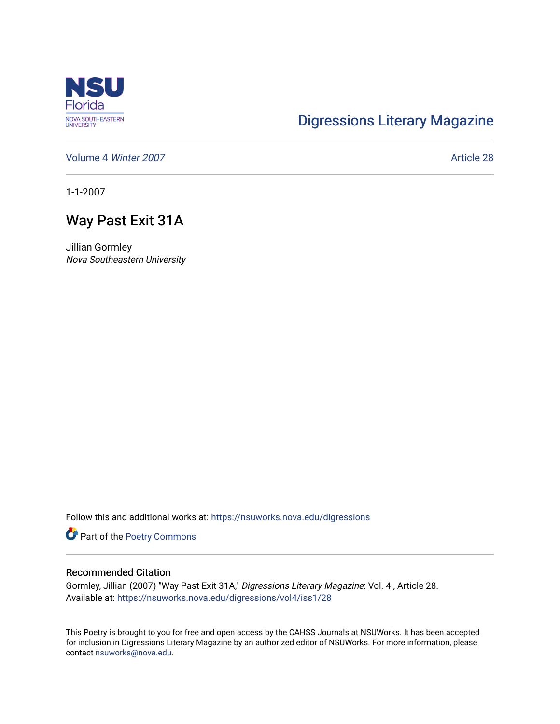

## [Digressions Literary Magazine](https://nsuworks.nova.edu/digressions)

[Volume 4](https://nsuworks.nova.edu/digressions/vol4) Winter 2007 **Article 28** 

1-1-2007

## Way Past Exit 31A

Jillian Gormley Nova Southeastern University

Follow this and additional works at: [https://nsuworks.nova.edu/digressions](https://nsuworks.nova.edu/digressions?utm_source=nsuworks.nova.edu%2Fdigressions%2Fvol4%2Fiss1%2F28&utm_medium=PDF&utm_campaign=PDFCoverPages) 

Part of the [Poetry Commons](http://network.bepress.com/hgg/discipline/1153?utm_source=nsuworks.nova.edu%2Fdigressions%2Fvol4%2Fiss1%2F28&utm_medium=PDF&utm_campaign=PDFCoverPages) 

## Recommended Citation

Gormley, Jillian (2007) "Way Past Exit 31A," Digressions Literary Magazine: Vol. 4 , Article 28. Available at: [https://nsuworks.nova.edu/digressions/vol4/iss1/28](https://nsuworks.nova.edu/digressions/vol4/iss1/28?utm_source=nsuworks.nova.edu%2Fdigressions%2Fvol4%2Fiss1%2F28&utm_medium=PDF&utm_campaign=PDFCoverPages) 

This Poetry is brought to you for free and open access by the CAHSS Journals at NSUWorks. It has been accepted for inclusion in Digressions Literary Magazine by an authorized editor of NSUWorks. For more information, please contact [nsuworks@nova.edu.](mailto:nsuworks@nova.edu)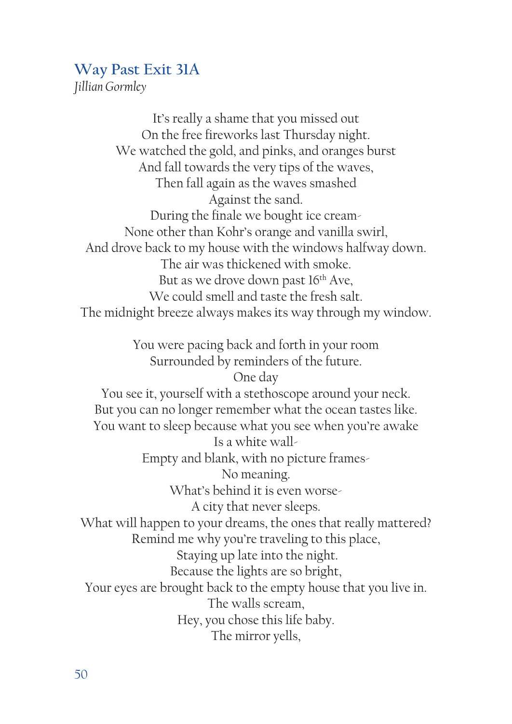## **Way Past Exit 31A**

*Jillian Gormley*

It's really a shame that you missed out On the free fireworks last Thursday night. We watched the gold, and pinks, and oranges burst And fall towards the very tips of the waves, Then fall again as the waves smashed Against the sand. During the finale we bought ice cream-None other than Kohr's orange and vanilla swirl, And drove back to my house with the windows halfway down. The air was thickened with smoke. But as we drove down past 16<sup>th</sup> Ave, We could smell and taste the fresh salt. The midnight breeze always makes its way through my window.

> You were pacing back and forth in your room Surrounded by reminders of the future. One day

You see it, yourself with a stethoscope around your neck. But you can no longer remember what the ocean tastes like. You want to sleep because what you see when you're awake Is a white wall-Empty and blank, with no picture frames-No meaning. What's behind it is even worse-A city that never sleeps. What will happen to your dreams, the ones that really mattered? Remind me why you're traveling to this place, Staying up late into the night. Because the lights are so bright, Your eyes are brought back to the empty house that you live in. The walls scream, Hey, you chose this life baby.

The mirror yells,